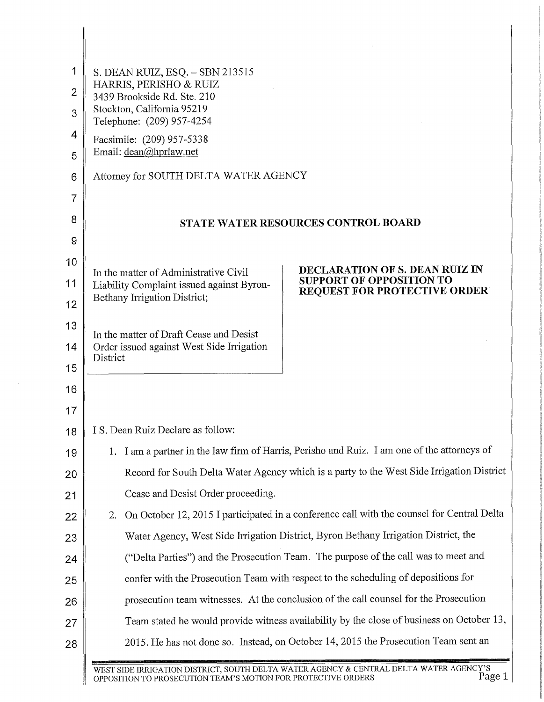| 1              | S. DEAN RUIZ, $ESQ - SBN 213515$                                                                                    |
|----------------|---------------------------------------------------------------------------------------------------------------------|
| $\overline{2}$ | HARRIS, PERISHO & RUIZ<br>3439 Brookside Rd. Ste. 210                                                               |
| 3              | Stockton, California 95219<br>Telephone: (209) 957-4254                                                             |
| 4              | Facsimile: (209) 957-5338                                                                                           |
| 5              | Email: dean@hprlaw.net                                                                                              |
| 6              | Attorney for SOUTH DELTA WATER AGENCY                                                                               |
| 7              |                                                                                                                     |
| 8              | STATE WATER RESOURCES CONTROL BOARD                                                                                 |
| 9              |                                                                                                                     |
| 10             | DECLARATION OF S. DEAN RUIZ IN<br>In the matter of Administrative Civil                                             |
| 11             | <b>SUPPORT OF OPPOSITION TO</b><br>Liability Complaint issued against Byron-<br><b>REQUEST FOR PROTECTIVE ORDER</b> |
| 12             | Bethany Irrigation District;                                                                                        |
| 13             | In the matter of Draft Cease and Desist                                                                             |
| 14             | Order issued against West Side Irrigation<br>District                                                               |
| 15             |                                                                                                                     |
| 16             |                                                                                                                     |
| 17             |                                                                                                                     |
| 18             | I S. Dean Ruiz Declare as follow:                                                                                   |
| 19             | 1. I am a partner in the law firm of Harris, Perisho and Ruiz. I am one of the attorneys of                         |
| 20             | Record for South Delta Water Agency which is a party to the West Side Irrigation District                           |
| 21             | Cease and Desist Order proceeding.                                                                                  |
| 22             | On October 12, 2015 I participated in a conference call with the counsel for Central Delta<br>2.                    |
| 23             | Water Agency, West Side Irrigation District, Byron Bethany Irrigation District, the                                 |
| 24             | ("Delta Parties") and the Prosecution Team. The purpose of the call was to meet and                                 |
| 25             | confer with the Prosecution Team with respect to the scheduling of depositions for                                  |
| 26             | prosecution team witnesses. At the conclusion of the call counsel for the Prosecution                               |
| 27             | Team stated he would provide witness availability by the close of business on October 13,                           |
| 28             | 2015. He has not done so. Instead, on October 14, 2015 the Prosecution Team sent an                                 |

J.